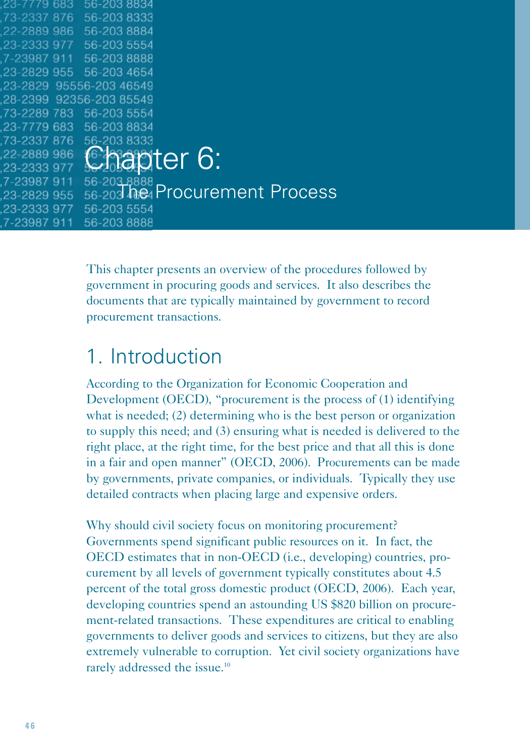| 23-7779-683             | 56-203 8834 |                               |
|-------------------------|-------------|-------------------------------|
| 73-2337 876             | 56-203 8333 |                               |
| 22-2889 986             | 56-203 8884 |                               |
| 23-2333 977             | 56-203 5554 |                               |
| 7-23987 911 56-203 8888 |             |                               |
| 23-2829 955 56-203 4654 |             |                               |
| 23-2829 95556-203 46549 |             |                               |
| 28-2399 92356-203 85549 |             |                               |
| 73-2289 783 56-203 5554 |             |                               |
| 23-7779 683             | 56-2038834  |                               |
| 73-2337 876             | 56-203 8333 |                               |
| 22-2889 986             |             | <b>Caapter 6:</b>             |
| 23-2333 977             |             |                               |
| 7-23987 911             | 56-203 8888 |                               |
| 23-2829 955             |             | 56-203 he Procurement Process |
| 23-2333 977             | 56-203 5554 |                               |
| 7-23987 911             | 56-203 8888 |                               |

This chapter presents an overview of the procedures followed by government in procuring goods and services. It also describes the documents that are typically maintained by government to record procurement transactions.

## 1. Introduction

According to the Organization for Economic Cooperation and Development (OECD), "procurement is the process of (1) identifying what is needed; (2) determining who is the best person or organization to supply this need; and (3) ensuring what is needed is delivered to the right place, at the right time, for the best price and that all this is done in a fair and open manner" (OECD, 2006). Procurements can be made by governments, private companies, or individuals. Typically they use detailed contracts when placing large and expensive orders.

Why should civil society focus on monitoring procurement? Governments spend significant public resources on it. In fact, the OECD estimates that in non-OECD (i.e., developing) countries, procurement by all levels of government typically constitutes about 4.5 percent of the total gross domestic product (OECD, 2006). Each year, developing countries spend an astounding US \$820 billion on procurement-related transactions. These expenditures are critical to enabling governments to deliver goods and services to citizens, but they are also extremely vulnerable to corruption. Yet civil society organizations have rarely addressed the issue.<sup>10</sup>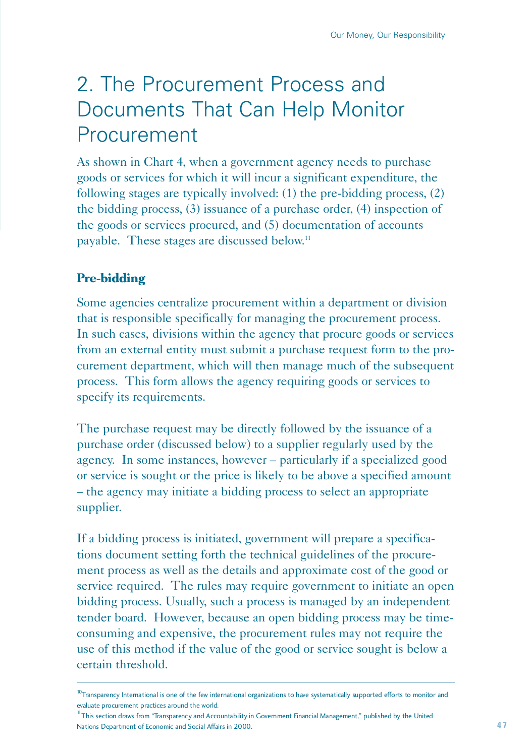# 2. The Procurement Process and Documents That Can Help Monitor Procurement

As shown in Chart 4, when a government agency needs to purchase goods or services for which it will incur a significant expenditure, the following stages are typically involved: (1) the pre-bidding process, (2) the bidding process, (3) issuance of a purchase order, (4) inspection of the goods or services procured, and (5) documentation of accounts payable. These stages are discussed below.11

## **Pre-bidding**

Some agencies centralize procurement within a department or division that is responsible specifically for managing the procurement process. In such cases, divisions within the agency that procure goods or services from an external entity must submit a purchase request form to the procurement department, which will then manage much of the subsequent process. This form allows the agency requiring goods or services to specify its requirements.

The purchase request may be directly followed by the issuance of a purchase order (discussed below) to a supplier regularly used by the agency. In some instances, however – particularly if a specialized good or service is sought or the price is likely to be above a specified amount – the agency may initiate a bidding process to select an appropriate supplier.

If a bidding process is initiated, government will prepare a specifications document setting forth the technical guidelines of the procurement process as well as the details and approximate cost of the good or service required. The rules may require government to initiate an open bidding process. Usually, such a process is managed by an independent tender board. However, because an open bidding process may be timeconsuming and expensive, the procurement rules may not require the use of this method if the value of the good or service sought is below a certain threshold.

<sup>11</sup>This section draws from "Transparency and Accountability in Government Financial Management," published by the United Nations Department of Economic and Social Affairs in 2000.

 $10$ Transparency International is one of the few international organizations to have systematically supported efforts to monitor and evaluate procurement practices around the world.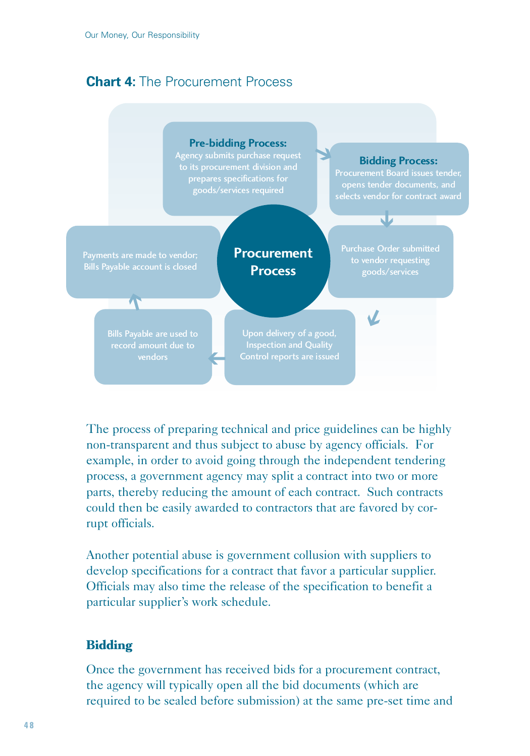## **Chart 4:** The Procurement Process



The process of preparing technical and price guidelines can be highly non-transparent and thus subject to abuse by agency officials. For example, in order to avoid going through the independent tendering process, a government agency may split a contract into two or more parts, thereby reducing the amount of each contract. Such contracts could then be easily awarded to contractors that are favored by corrupt officials.

Another potential abuse is government collusion with suppliers to develop specifications for a contract that favor a particular supplier. Officials may also time the release of the specification to benefit a particular supplier's work schedule.

### **Bidding**

Once the government has received bids for a procurement contract, the agency will typically open all the bid documents (which are required to be sealed before submission) at the same pre-set time and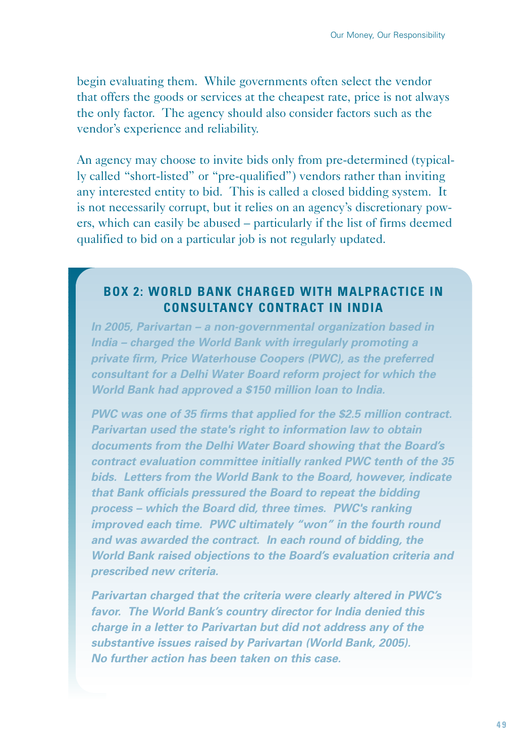begin evaluating them. While governments often select the vendor that offers the goods or services at the cheapest rate, price is not always the only factor. The agency should also consider factors such as the vendor's experience and reliability.

An agency may choose to invite bids only from pre-determined (typically called "short-listed" or "pre-qualified") vendors rather than inviting any interested entity to bid. This is called a closed bidding system. It is not necessarily corrupt, but it relies on an agency's discretionary powers, which can easily be abused – particularly if the list of firms deemed qualified to bid on a particular job is not regularly updated.

#### **BOX 2: WORLD BANK CHARGED WITH MALPRACTICE IN CONSULTANCY CONTRACT IN INDIA**

*In 2005, Parivartan – a non-governmental organization based in India – charged the World Bank with irregularly promoting a private firm, Price Waterhouse Coopers (PWC), as the preferred consultant for a Delhi Water Board reform project for which the World Bank had approved a \$150 million loan to India.* 

*PWC was one of 35 firms that applied for the \$2.5 million contract. Parivartan used the state's right to information law to obtain documents from the Delhi Water Board showing that the Board's contract evaluation committee initially ranked PWC tenth of the 35 bids. Letters from the World Bank to the Board, however, indicate that Bank officials pressured the Board to repeat the bidding process – which the Board did, three times. PWC's ranking improved each time. PWC ultimately "won" in the fourth round and was awarded the contract. In each round of bidding, the World Bank raised objections to the Board's evaluation criteria and prescribed new criteria.* 

*Parivartan charged that the criteria were clearly altered in PWC's favor. The World Bank's country director for India denied this charge in a letter to Parivartan but did not address any of the substantive issues raised by Parivartan (World Bank, 2005). No further action has been taken on this case.*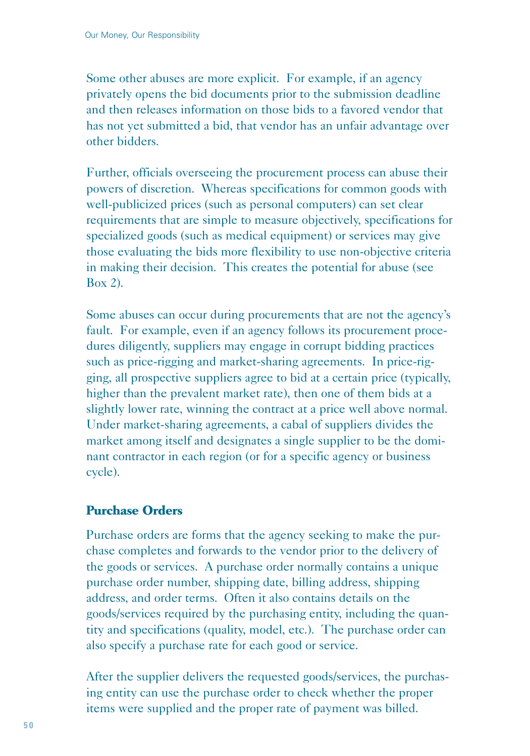Some other abuses are more explicit. For example, if an agency privately opens the bid documents prior to the submission deadline and then releases information on those bids to a favored vendor that has not yet submitted a bid, that vendor has an unfair advantage over other bidders.

Further, officials overseeing the procurement process can abuse their powers of discretion. Whereas specifications for common goods with well-publicized prices (such as personal computers) can set clear requirements that are simple to measure objectively, specifications for specialized goods (such as medical equipment) or services may give those evaluating the bids more flexibility to use non-objective criteria in making their decision. This creates the potential for abuse (see Box 2).

Some abuses can occur during procurements that are not the agency's fault. For example, even if an agency follows its procurement procedures diligently, suppliers may engage in corrupt bidding practices such as price-rigging and market-sharing agreements. In price-rigging, all prospective suppliers agree to bid at a certain price (typically, higher than the prevalent market rate), then one of them bids at a slightly lower rate, winning the contract at a price well above normal. Under market-sharing agreements, a cabal of suppliers divides the market among itself and designates a single supplier to be the dominant contractor in each region (or for a specific agency or business cycle).

### **Purchase Orders**

Purchase orders are forms that the agency seeking to make the purchase completes and forwards to the vendor prior to the delivery of the goods or services. A purchase order normally contains a unique purchase order number, shipping date, billing address, shipping address, and order terms. Often it also contains details on the goods/services required by the purchasing entity, including the quantity and specifications (quality, model, etc.). The purchase order can also specify a purchase rate for each good or service.

After the supplier delivers the requested goods/services, the purchasing entity can use the purchase order to check whether the proper items were supplied and the proper rate of payment was billed.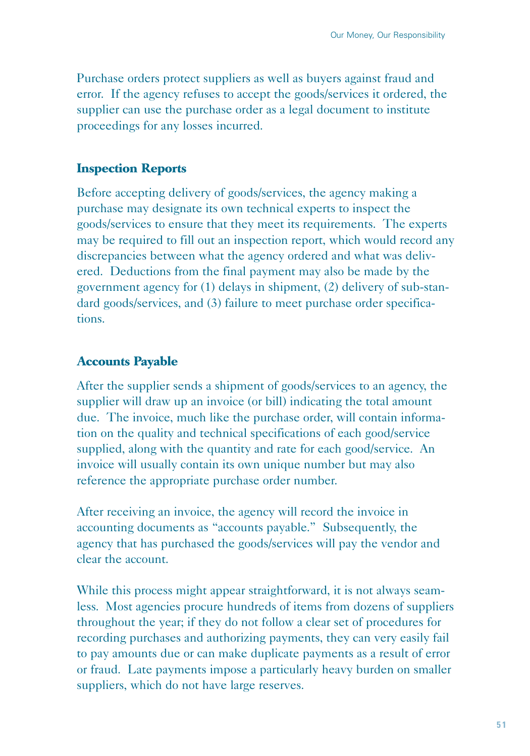Purchase orders protect suppliers as well as buyers against fraud and error. If the agency refuses to accept the goods/services it ordered, the supplier can use the purchase order as a legal document to institute proceedings for any losses incurred.

#### **Inspection Reports**

Before accepting delivery of goods/services, the agency making a purchase may designate its own technical experts to inspect the goods/services to ensure that they meet its requirements. The experts may be required to fill out an inspection report, which would record any discrepancies between what the agency ordered and what was delivered. Deductions from the final payment may also be made by the government agency for (1) delays in shipment, (2) delivery of sub-standard goods/services, and (3) failure to meet purchase order specifications.

#### **Accounts Payable**

After the supplier sends a shipment of goods/services to an agency, the supplier will draw up an invoice (or bill) indicating the total amount due. The invoice, much like the purchase order, will contain information on the quality and technical specifications of each good/service supplied, along with the quantity and rate for each good/service. An invoice will usually contain its own unique number but may also reference the appropriate purchase order number.

After receiving an invoice, the agency will record the invoice in accounting documents as "accounts payable." Subsequently, the agency that has purchased the goods/services will pay the vendor and clear the account.

While this process might appear straightforward, it is not always seamless. Most agencies procure hundreds of items from dozens of suppliers throughout the year; if they do not follow a clear set of procedures for recording purchases and authorizing payments, they can very easily fail to pay amounts due or can make duplicate payments as a result of error or fraud. Late payments impose a particularly heavy burden on smaller suppliers, which do not have large reserves.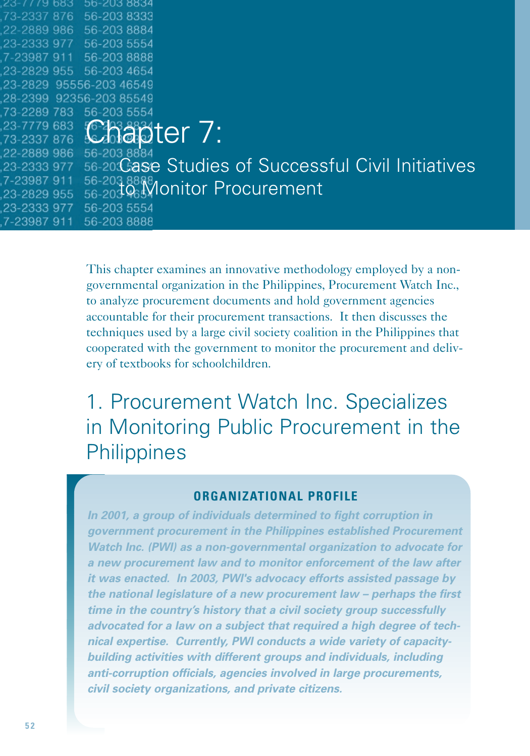|             | 56-203 8834              |                                                                 |
|-------------|--------------------------|-----------------------------------------------------------------|
| 73-2337 876 | 56-203 8333              |                                                                 |
|             | 22-2889 986 56-203 8884  |                                                                 |
|             | 23-2333 977 56-203 5554  |                                                                 |
|             | 7-23987 911 56-203 8888  |                                                                 |
|             | 23-2829 955 56-203 4654  |                                                                 |
|             | 23-2829 95556-203 46549  |                                                                 |
|             | 28-2399 92356-203 85549  |                                                                 |
|             | 73-2289 783 56-203 5554  |                                                                 |
|             | 23-7779 683 CABBAJCT 7:  |                                                                 |
|             |                          |                                                                 |
|             | .22-2889 986 56-203 8884 |                                                                 |
|             |                          | 23-2333 977 56-20: Case Studies of Successful Civil Initiatives |
| 7-23987 911 |                          | 56-203 8888<br>56-203 96 Monitor Procurement                    |
| 23-2829 955 |                          |                                                                 |
| 23-2333 977 | 56-203 5554              |                                                                 |
| 7-23987 911 | 56-2038888               |                                                                 |

This chapter examines an innovative methodology employed by a nongovernmental organization in the Philippines, Procurement Watch Inc., to analyze procurement documents and hold government agencies accountable for their procurement transactions. It then discusses the techniques used by a large civil society coalition in the Philippines that cooperated with the government to monitor the procurement and delivery of textbooks for schoolchildren.

## 1. Procurement Watch Inc. Specializes in Monitoring Public Procurement in the **Philippines**

### **ORGANIZATIONAL PROFILE**

*In 2001, a group of individuals determined to fight corruption in government procurement in the Philippines established Procurement Watch Inc. (PWI) as a non-governmental organization to advocate for a new procurement law and to monitor enforcement of the law after it was enacted. In 2003, PWI's advocacy efforts assisted passage by the national legislature of a new procurement law – perhaps the first time in the country's history that a civil society group successfully advocated for a law on a subject that required a high degree of technical expertise. Currently, PWI conducts a wide variety of capacitybuilding activities with different groups and individuals, including anti-corruption officials, agencies involved in large procurements, civil society organizations, and private citizens.*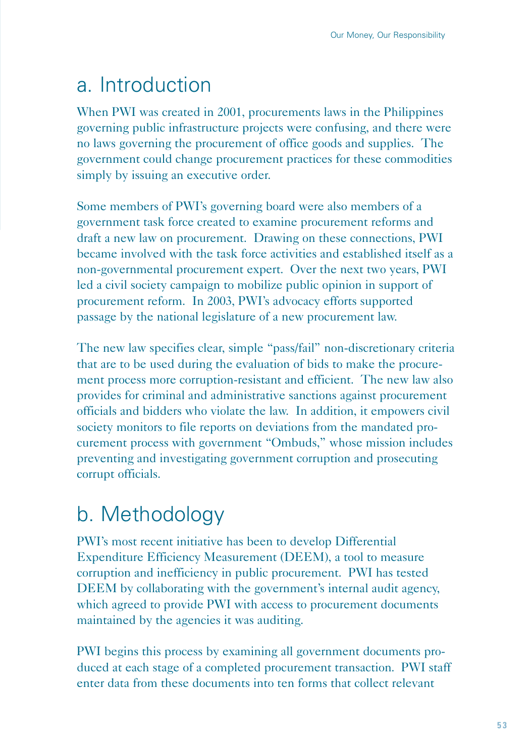# a. Introduction

When PWI was created in 2001, procurements laws in the Philippines governing public infrastructure projects were confusing, and there were no laws governing the procurement of office goods and supplies. The government could change procurement practices for these commodities simply by issuing an executive order.

Some members of PWI's governing board were also members of a government task force created to examine procurement reforms and draft a new law on procurement. Drawing on these connections, PWI became involved with the task force activities and established itself as a non-governmental procurement expert. Over the next two years, PWI led a civil society campaign to mobilize public opinion in support of procurement reform. In 2003, PWI's advocacy efforts supported passage by the national legislature of a new procurement law.

The new law specifies clear, simple "pass/fail" non-discretionary criteria that are to be used during the evaluation of bids to make the procurement process more corruption-resistant and efficient. The new law also provides for criminal and administrative sanctions against procurement officials and bidders who violate the law. In addition, it empowers civil society monitors to file reports on deviations from the mandated procurement process with government "Ombuds," whose mission includes preventing and investigating government corruption and prosecuting corrupt officials.

# b. Methodology

PWI's most recent initiative has been to develop Differential Expenditure Efficiency Measurement (DEEM), a tool to measure corruption and inefficiency in public procurement. PWI has tested DEEM by collaborating with the government's internal audit agency, which agreed to provide PWI with access to procurement documents maintained by the agencies it was auditing.

PWI begins this process by examining all government documents produced at each stage of a completed procurement transaction. PWI staff enter data from these documents into ten forms that collect relevant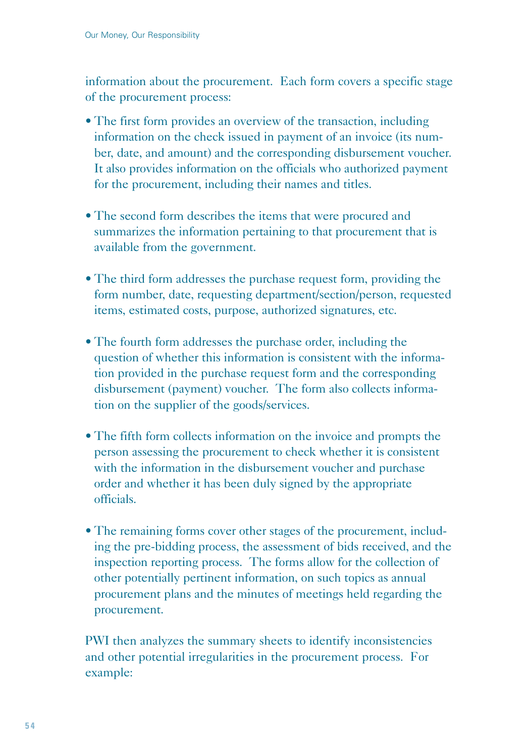information about the procurement. Each form covers a specific stage of the procurement process:

- The first form provides an overview of the transaction, including information on the check issued in payment of an invoice (its number, date, and amount) and the corresponding disbursement voucher. It also provides information on the officials who authorized payment for the procurement, including their names and titles.
- The second form describes the items that were procured and summarizes the information pertaining to that procurement that is available from the government.
- The third form addresses the purchase request form, providing the form number, date, requesting department/section/person, requested items, estimated costs, purpose, authorized signatures, etc.
- The fourth form addresses the purchase order, including the question of whether this information is consistent with the information provided in the purchase request form and the corresponding disbursement (payment) voucher. The form also collects information on the supplier of the goods/services.
- The fifth form collects information on the invoice and prompts the person assessing the procurement to check whether it is consistent with the information in the disbursement voucher and purchase order and whether it has been duly signed by the appropriate officials.
- The remaining forms cover other stages of the procurement, including the pre-bidding process, the assessment of bids received, and the inspection reporting process. The forms allow for the collection of other potentially pertinent information, on such topics as annual procurement plans and the minutes of meetings held regarding the procurement.

PWI then analyzes the summary sheets to identify inconsistencies and other potential irregularities in the procurement process. For example: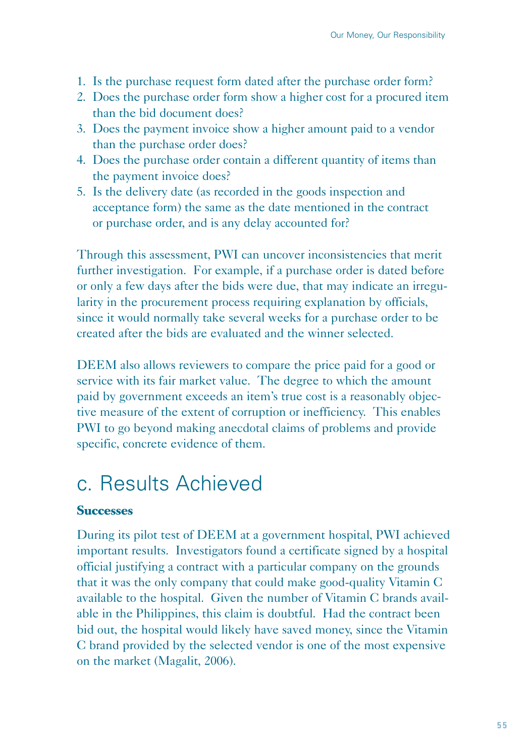- 1. Is the purchase request form dated after the purchase order form?
- 2. Does the purchase order form show a higher cost for a procured item than the bid document does?
- 3. Does the payment invoice show a higher amount paid to a vendor than the purchase order does?
- 4. Does the purchase order contain a different quantity of items than the payment invoice does?
- 5. Is the delivery date (as recorded in the goods inspection and acceptance form) the same as the date mentioned in the contract or purchase order, and is any delay accounted for?

Through this assessment, PWI can uncover inconsistencies that merit further investigation. For example, if a purchase order is dated before or only a few days after the bids were due, that may indicate an irregularity in the procurement process requiring explanation by officials, since it would normally take several weeks for a purchase order to be created after the bids are evaluated and the winner selected.

DEEM also allows reviewers to compare the price paid for a good or service with its fair market value. The degree to which the amount paid by government exceeds an item's true cost is a reasonably objective measure of the extent of corruption or inefficiency. This enables PWI to go beyond making anecdotal claims of problems and provide specific, concrete evidence of them.

## c. Results Achieved

#### **Successes**

During its pilot test of DEEM at a government hospital, PWI achieved important results. Investigators found a certificate signed by a hospital official justifying a contract with a particular company on the grounds that it was the only company that could make good-quality Vitamin C available to the hospital. Given the number of Vitamin C brands available in the Philippines, this claim is doubtful. Had the contract been bid out, the hospital would likely have saved money, since the Vitamin C brand provided by the selected vendor is one of the most expensive on the market (Magalit, 2006).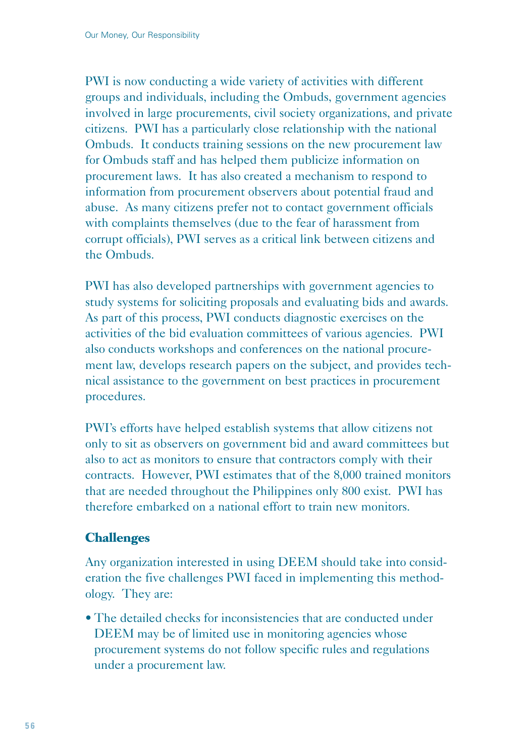PWI is now conducting a wide variety of activities with different groups and individuals, including the Ombuds, government agencies involved in large procurements, civil society organizations, and private citizens. PWI has a particularly close relationship with the national Ombuds. It conducts training sessions on the new procurement law for Ombuds staff and has helped them publicize information on procurement laws. It has also created a mechanism to respond to information from procurement observers about potential fraud and abuse. As many citizens prefer not to contact government officials with complaints themselves (due to the fear of harassment from corrupt officials), PWI serves as a critical link between citizens and the Ombuds.

PWI has also developed partnerships with government agencies to study systems for soliciting proposals and evaluating bids and awards. As part of this process, PWI conducts diagnostic exercises on the activities of the bid evaluation committees of various agencies. PWI also conducts workshops and conferences on the national procurement law, develops research papers on the subject, and provides technical assistance to the government on best practices in procurement procedures.

PWI's efforts have helped establish systems that allow citizens not only to sit as observers on government bid and award committees but also to act as monitors to ensure that contractors comply with their contracts. However, PWI estimates that of the 8,000 trained monitors that are needed throughout the Philippines only 800 exist. PWI has therefore embarked on a national effort to train new monitors.

### **Challenges**

Any organization interested in using DEEM should take into consideration the five challenges PWI faced in implementing this methodology. They are:

• The detailed checks for inconsistencies that are conducted under DEEM may be of limited use in monitoring agencies whose procurement systems do not follow specific rules and regulations under a procurement law.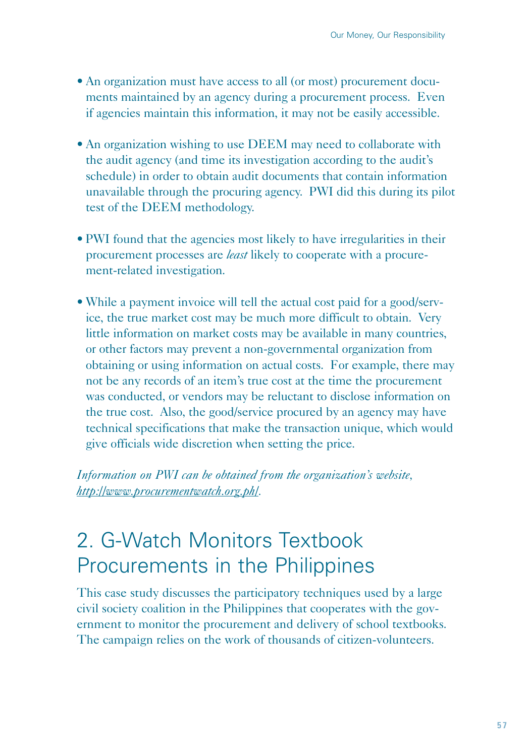- An organization must have access to all (or most) procurement documents maintained by an agency during a procurement process. Even if agencies maintain this information, it may not be easily accessible.
- An organization wishing to use DEEM may need to collaborate with the audit agency (and time its investigation according to the audit's schedule) in order to obtain audit documents that contain information unavailable through the procuring agency. PWI did this during its pilot test of the DEEM methodology.
- PWI found that the agencies most likely to have irregularities in their procurement processes are *least* likely to cooperate with a procurement-related investigation.
- While a payment invoice will tell the actual cost paid for a good/service, the true market cost may be much more difficult to obtain. Very little information on market costs may be available in many countries, or other factors may prevent a non-governmental organization from obtaining or using information on actual costs. For example, there may not be any records of an item's true cost at the time the procurement was conducted, or vendors may be reluctant to disclose information on the true cost. Also, the good/service procured by an agency may have technical specifications that make the transaction unique, which would give officials wide discretion when setting the price.

*Information on PWI can be obtained from the organization's website, http://www.procurementwatch.org.ph/.*

# 2. G-Watch Monitors Textbook Procurements in the Philippines

This case study discusses the participatory techniques used by a large civil society coalition in the Philippines that cooperates with the government to monitor the procurement and delivery of school textbooks. The campaign relies on the work of thousands of citizen-volunteers.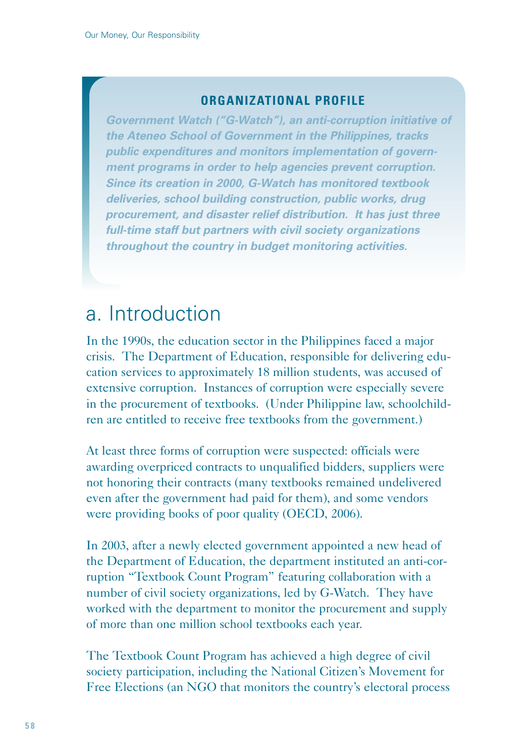### **ORGANIZATIONAL PROFILE**

*Government Watch ("G-Watch"), an anti-corruption initiative of the Ateneo School of Government in the Philippines, tracks public expenditures and monitors implementation of government programs in order to help agencies prevent corruption. Since its creation in 2000, G-Watch has monitored textbook deliveries, school building construction, public works, drug procurement, and disaster relief distribution. It has just three full-time staff but partners with civil society organizations throughout the country in budget monitoring activities.* 

## a. Introduction

In the 1990s, the education sector in the Philippines faced a major crisis. The Department of Education, responsible for delivering education services to approximately 18 million students, was accused of extensive corruption. Instances of corruption were especially severe in the procurement of textbooks. (Under Philippine law, schoolchildren are entitled to receive free textbooks from the government.)

At least three forms of corruption were suspected: officials were awarding overpriced contracts to unqualified bidders, suppliers were not honoring their contracts (many textbooks remained undelivered even after the government had paid for them), and some vendors were providing books of poor quality (OECD, 2006).

In 2003, after a newly elected government appointed a new head of the Department of Education, the department instituted an anti-corruption "Textbook Count Program" featuring collaboration with a number of civil society organizations, led by G-Watch. They have worked with the department to monitor the procurement and supply of more than one million school textbooks each year.

The Textbook Count Program has achieved a high degree of civil society participation, including the National Citizen's Movement for Free Elections (an NGO that monitors the country's electoral process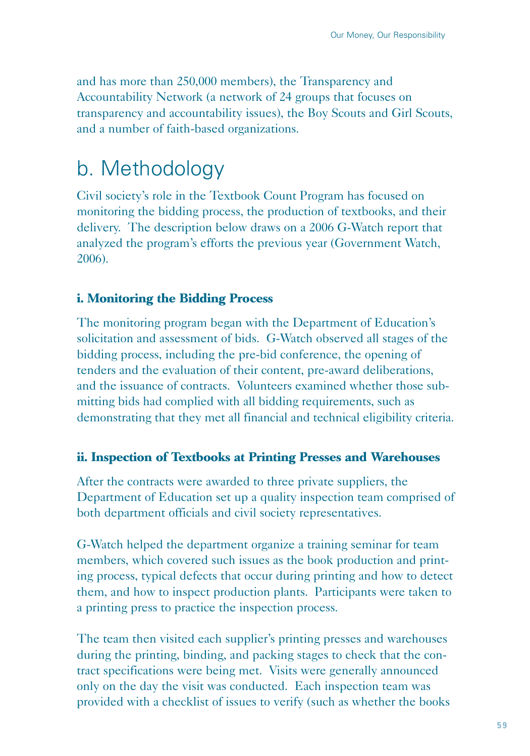and has more than 250,000 members), the Transparency and Accountability Network (a network of 24 groups that focuses on transparency and accountability issues), the Boy Scouts and Girl Scouts, and a number of faith-based organizations.

## b. Methodology

Civil society's role in the Textbook Count Program has focused on monitoring the bidding process, the production of textbooks, and their delivery. The description below draws on a 2006 G-Watch report that analyzed the program's efforts the previous year (Government Watch, 2006).

## **i. Monitoring the Bidding Process**

The monitoring program began with the Department of Education's solicitation and assessment of bids. G-Watch observed all stages of the bidding process, including the pre-bid conference, the opening of tenders and the evaluation of their content, pre-award deliberations, and the issuance of contracts. Volunteers examined whether those submitting bids had complied with all bidding requirements, such as demonstrating that they met all financial and technical eligibility criteria.

### **ii. Inspection of Textbooks at Printing Presses and Warehouses**

After the contracts were awarded to three private suppliers, the Department of Education set up a quality inspection team comprised of both department officials and civil society representatives.

G-Watch helped the department organize a training seminar for team members, which covered such issues as the book production and printing process, typical defects that occur during printing and how to detect them, and how to inspect production plants. Participants were taken to a printing press to practice the inspection process.

The team then visited each supplier's printing presses and warehouses during the printing, binding, and packing stages to check that the contract specifications were being met. Visits were generally announced only on the day the visit was conducted. Each inspection team was provided with a checklist of issues to verify (such as whether the books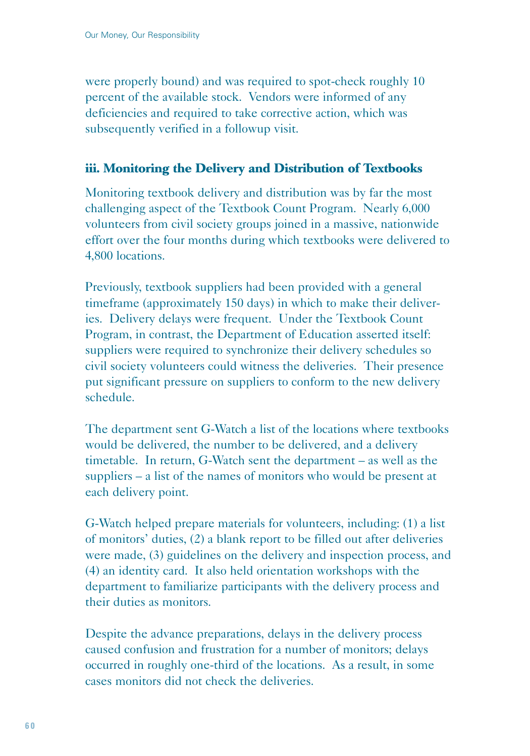were properly bound) and was required to spot-check roughly 10 percent of the available stock. Vendors were informed of any deficiencies and required to take corrective action, which was subsequently verified in a followup visit.

### **iii. Monitoring the Delivery and Distribution of Textbooks**

Monitoring textbook delivery and distribution was by far the most challenging aspect of the Textbook Count Program. Nearly 6,000 volunteers from civil society groups joined in a massive, nationwide effort over the four months during which textbooks were delivered to 4,800 locations.

Previously, textbook suppliers had been provided with a general timeframe (approximately 150 days) in which to make their deliveries. Delivery delays were frequent. Under the Textbook Count Program, in contrast, the Department of Education asserted itself: suppliers were required to synchronize their delivery schedules so civil society volunteers could witness the deliveries. Their presence put significant pressure on suppliers to conform to the new delivery schedule.

The department sent G-Watch a list of the locations where textbooks would be delivered, the number to be delivered, and a delivery timetable. In return, G-Watch sent the department – as well as the suppliers – a list of the names of monitors who would be present at each delivery point.

G-Watch helped prepare materials for volunteers, including: (1) a list of monitors' duties, (2) a blank report to be filled out after deliveries were made, (3) guidelines on the delivery and inspection process, and (4) an identity card. It also held orientation workshops with the department to familiarize participants with the delivery process and their duties as monitors.

Despite the advance preparations, delays in the delivery process caused confusion and frustration for a number of monitors; delays occurred in roughly one-third of the locations. As a result, in some cases monitors did not check the deliveries.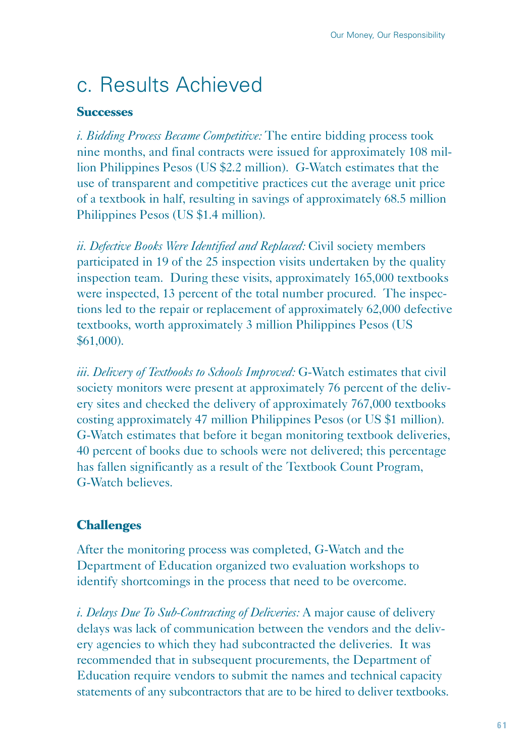# c. Results Achieved

### **Successes**

*i. Bidding Process Became Competitive:* The entire bidding process took nine months, and final contracts were issued for approximately 108 million Philippines Pesos (US \$2.2 million). G-Watch estimates that the use of transparent and competitive practices cut the average unit price of a textbook in half, resulting in savings of approximately 68.5 million Philippines Pesos (US \$1.4 million).

*ii. Defective Books Were Identified and Replaced:* Civil society members participated in 19 of the 25 inspection visits undertaken by the quality inspection team. During these visits, approximately 165,000 textbooks were inspected, 13 percent of the total number procured. The inspections led to the repair or replacement of approximately 62,000 defective textbooks, worth approximately 3 million Philippines Pesos (US \$61,000).

*iii. Delivery of Textbooks to Schools Improved:* G-Watch estimates that civil society monitors were present at approximately 76 percent of the delivery sites and checked the delivery of approximately 767,000 textbooks costing approximately 47 million Philippines Pesos (or US \$1 million). G-Watch estimates that before it began monitoring textbook deliveries, 40 percent of books due to schools were not delivered; this percentage has fallen significantly as a result of the Textbook Count Program, G-Watch believes.

### **Challenges**

After the monitoring process was completed, G-Watch and the Department of Education organized two evaluation workshops to identify shortcomings in the process that need to be overcome.

*i. Delays Due To Sub-Contracting of Deliveries:* A major cause of delivery delays was lack of communication between the vendors and the delivery agencies to which they had subcontracted the deliveries. It was recommended that in subsequent procurements, the Department of Education require vendors to submit the names and technical capacity statements of any subcontractors that are to be hired to deliver textbooks.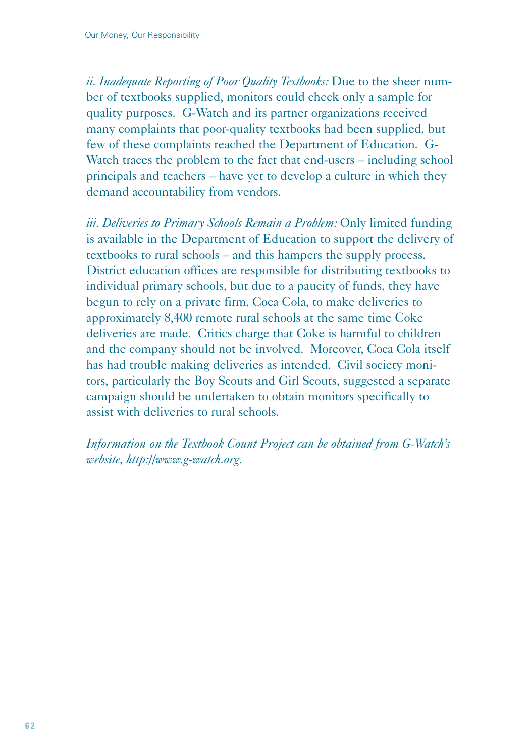*ii. Inadequate Reporting of Poor Quality Textbooks:* Due to the sheer number of textbooks supplied, monitors could check only a sample for quality purposes. G-Watch and its partner organizations received many complaints that poor-quality textbooks had been supplied, but few of these complaints reached the Department of Education. G-Watch traces the problem to the fact that end-users – including school principals and teachers – have yet to develop a culture in which they demand accountability from vendors.

*iii. Deliveries to Primary Schools Remain a Problem:* Only limited funding is available in the Department of Education to support the delivery of textbooks to rural schools – and this hampers the supply process. District education offices are responsible for distributing textbooks to individual primary schools, but due to a paucity of funds, they have begun to rely on a private firm, Coca Cola, to make deliveries to approximately 8,400 remote rural schools at the same time Coke deliveries are made. Critics charge that Coke is harmful to children and the company should not be involved. Moreover, Coca Cola itself has had trouble making deliveries as intended. Civil society monitors, particularly the Boy Scouts and Girl Scouts, suggested a separate campaign should be undertaken to obtain monitors specifically to assist with deliveries to rural schools.

*Information on the Textbook Count Project can be obtained from G-Watch's website, http://www.g-watch.org.*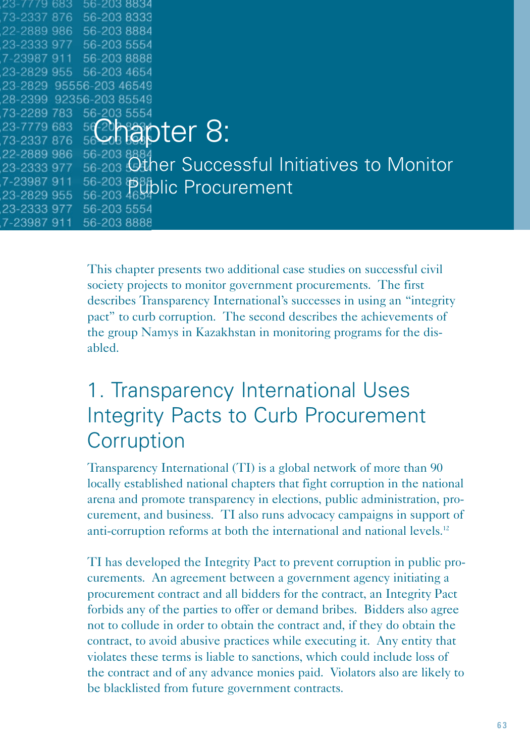| 23-7779-683-            | 56-203 8834 |                                                |  |
|-------------------------|-------------|------------------------------------------------|--|
| 73-2337 876             | 56-203 8333 |                                                |  |
| 22-2889 986 56-203 8884 |             |                                                |  |
| 23-2333 977 56-203 5554 |             |                                                |  |
| 7-23987 911 56-203 8888 |             |                                                |  |
| 23-2829 955 56-203 4654 |             |                                                |  |
| 23-2829 95556-203 46549 |             |                                                |  |
| 28-2399 92356-203 85549 |             |                                                |  |
| 73-2289 783 56-203 5554 |             |                                                |  |
|                         |             | 23-7779 683 5620 830ter 8:                     |  |
|                         |             |                                                |  |
| 22-2889 986             | 56-203 8884 |                                                |  |
| 23-2333 977             |             | 56-203 Other Successful Initiatives to Monitor |  |
| 7-23987 911             |             | $^{56-203}_{56-203}$ assiblic Procurement      |  |
| 23-2829 955             |             |                                                |  |
| 23-2333 977             | 56-203 5554 |                                                |  |
| 7-23987 911             | 56-203 8888 |                                                |  |

This chapter presents two additional case studies on successful civil society projects to monitor government procurements. The first describes Transparency International's successes in using an "integrity pact" to curb corruption. The second describes the achievements of the group Namys in Kazakhstan in monitoring programs for the disabled.

## 1. Transparency International Uses Integrity Pacts to Curb Procurement **Corruption**

Transparency International (TI) is a global network of more than 90 locally established national chapters that fight corruption in the national arena and promote transparency in elections, public administration, procurement, and business. TI also runs advocacy campaigns in support of anti-corruption reforms at both the international and national levels.12

TI has developed the Integrity Pact to prevent corruption in public procurements. An agreement between a government agency initiating a procurement contract and all bidders for the contract, an Integrity Pact forbids any of the parties to offer or demand bribes. Bidders also agree not to collude in order to obtain the contract and, if they do obtain the contract, to avoid abusive practices while executing it. Any entity that violates these terms is liable to sanctions, which could include loss of the contract and of any advance monies paid. Violators also are likely to be blacklisted from future government contracts.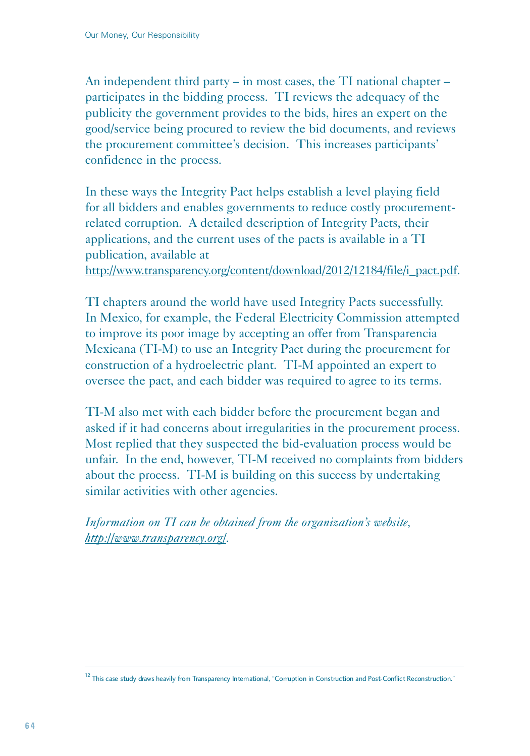An independent third party – in most cases, the TI national chapter – participates in the bidding process. TI reviews the adequacy of the publicity the government provides to the bids, hires an expert on the good/service being procured to review the bid documents, and reviews the procurement committee's decision. This increases participants' confidence in the process.

In these ways the Integrity Pact helps establish a level playing field for all bidders and enables governments to reduce costly procurementrelated corruption. A detailed description of Integrity Pacts, their applications, and the current uses of the pacts is available in a TI publication, available at

http://www.transparency.org/content/download/2012/12184/file/i\_pact.pdf.

TI chapters around the world have used Integrity Pacts successfully. In Mexico, for example, the Federal Electricity Commission attempted to improve its poor image by accepting an offer from Transparencia Mexicana (TI-M) to use an Integrity Pact during the procurement for construction of a hydroelectric plant. TI-M appointed an expert to oversee the pact, and each bidder was required to agree to its terms.

TI-M also met with each bidder before the procurement began and asked if it had concerns about irregularities in the procurement process. Most replied that they suspected the bid-evaluation process would be unfair. In the end, however, TI-M received no complaints from bidders about the process. TI-M is building on this success by undertaking similar activities with other agencies.

*Information on TI can be obtained from the organization's website, http://www.transparency.org/.*

 $<sup>12</sup>$  This case study draws heavily from Transparency International, "Corruption in Construction and Post-Conflict Reconstruction."</sup>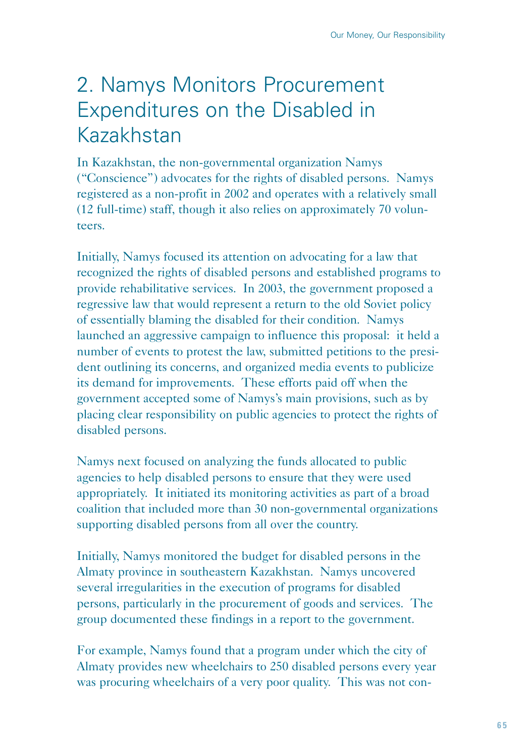# 2. Namys Monitors Procurement Expenditures on the Disabled in Kazakhstan

In Kazakhstan, the non-governmental organization Namys ("Conscience") advocates for the rights of disabled persons. Namys registered as a non-profit in 2002 and operates with a relatively small (12 full-time) staff, though it also relies on approximately 70 volunteers.

Initially, Namys focused its attention on advocating for a law that recognized the rights of disabled persons and established programs to provide rehabilitative services. In 2003, the government proposed a regressive law that would represent a return to the old Soviet policy of essentially blaming the disabled for their condition. Namys launched an aggressive campaign to influence this proposal: it held a number of events to protest the law, submitted petitions to the president outlining its concerns, and organized media events to publicize its demand for improvements. These efforts paid off when the government accepted some of Namys's main provisions, such as by placing clear responsibility on public agencies to protect the rights of disabled persons.

Namys next focused on analyzing the funds allocated to public agencies to help disabled persons to ensure that they were used appropriately. It initiated its monitoring activities as part of a broad coalition that included more than 30 non-governmental organizations supporting disabled persons from all over the country.

Initially, Namys monitored the budget for disabled persons in the Almaty province in southeastern Kazakhstan. Namys uncovered several irregularities in the execution of programs for disabled persons, particularly in the procurement of goods and services. The group documented these findings in a report to the government.

For example, Namys found that a program under which the city of Almaty provides new wheelchairs to 250 disabled persons every year was procuring wheelchairs of a very poor quality. This was not con